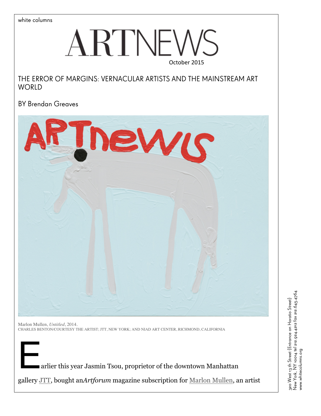# $\operatorname{ARTNEW}$

# THE ERROR OF MARGINS: VERNACULAR ARTISTS AND THE MAINSTREAM ART **WORLD**

BY Brendan Greaves



Marlon Mullen, *Untitled*, 2014. CHARLES BENTON/COURTESY THE ARTIST; JTT, NEW YORK; AND NIAD ART CENTER, RICHMOND, CALIFORNIA

arlier this year Jasmin Tsou, proprietor of the downtown Manhattan

gallery JTT, bought an*Artforum* magazine subscription for Marlon Mullen, an artist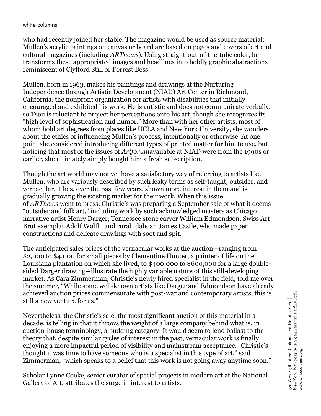who had recently joined her stable. The magazine would be used as source material: Mullen's acrylic paintings on canvas or board are based on pages and covers of art and cultural magazines (including *ARTnews*). Using straight-out-of-the-tube color, he transforms these appropriated images and headlines into boldly graphic abstractions reminiscent of Clyfford Still or Forrest Bess.

Mullen, born in 1963, makes his paintings and drawings at the Nurturing Independence through Artistic Development (NIAD) Art Center in Richmond, California, the nonprofit organization for artists with disabilities that initially encouraged and exhibited his work. He is autistic and does not communicate verbally, so Tsou is reluctant to project her perceptions onto his art, though she recognizes its "high level of sophistication and humor." More than with her other artists, most of whom hold art degrees from places like UCLA and New York University, she wonders about the ethics of influencing Mullen's process, intentionally or otherwise. At one point she considered introducing different types of printed matter for him to use, but noticing that most of the issues of *Artforum*available at NIAD were from the 1990s or earlier, she ultimately simply bought him a fresh subscription.

Though the art world may not yet have a satisfactory way of referring to artists like Mullen, who are variously described by such leaky terms as self-taught, outsider, and vernacular, it has, over the past few years, shown more interest in them and is gradually growing the existing market for their work. When this issue of *ARTnews* went to press, Christie's was preparing a September sale of what it deems "outsider and folk art," including work by such acknowledged masters as Chicago narrative artist Henry Darger, Tennessee stone carver William Edmondson, Swiss Art Brut exemplar Adolf Wölfli, and rural Idahoan James Castle, who made paper constructions and delicate drawings with soot and spit.

The anticipated sales prices of the vernacular works at the auction—ranging from \$2,000 to \$4,000 for small pieces by Clementine Hunter, a painter of life on the Louisiana plantation on which she lived, to \$400,000 to \$600,000 for a large doublesided Darger drawing—illustrate the highly variable nature of this still-developing market. As Cara Zimmerman, Christie's newly hired specialist in the field, told me over the summer, "While some well-known artists like Darger and Edmondson have already achieved auction prices commensurate with post-war and contemporary artists, this is still a new venture for us."

Nevertheless, the Christie's sale, the most significant auction of this material in a decade, is telling in that it throws the weight of a large company behind what is, in auction-house terminology, a budding category. It would seem to lend ballast to the theory that, despite similar cycles of interest in the past, vernacular work is finally enjoying a more impactful period of visibility and mainstream acceptance. "Christie's thought it was time to have someone who is a specialist in this type of art," said Zimmerman, "which speaks to a belief that this work is not going away anytime soon."

Scholar Lynne Cooke, senior curator of special projects in modern art at the National Gallery of Art, attributes the surge in interest to artists.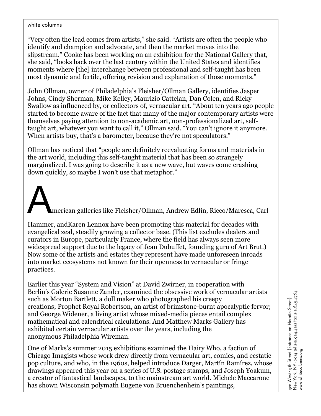"Very often the lead comes from artists," she said. "Artists are often the people who identify and champion and advocate, and then the market moves into the slipstream." Cooke has been working on an exhibition for the National Gallery that, she said, "looks back over the last century within the United States and identifies moments where [the] interchange between professional and self-taught has been most dynamic and fertile, offering revision and explanation of those moments."

John Ollman, owner of Philadelphia's Fleisher/Ollman Gallery, identifies Jasper Johns, Cindy Sherman, Mike Kelley, Maurizio Cattelan, Dan Colen, and Ricky Swallow as influenced by, or collectors of, vernacular art. "About ten years ago people started to become aware of the fact that many of the major contemporary artists were themselves paying attention to non-academic art, non-professionalized art, selftaught art, whatever you want to call it," Ollman said. "You can't ignore it anymore. When artists buy, that's a barometer, because they're not speculators."

Ollman has noticed that "people are definitely reevaluating forms and materials in the art world, including this self-taught material that has been so strangely marginalized. I was going to describe it as a new wave, but waves come crashing down quickly, so maybe I won't use that metaphor."

American galleries like Fleisher/Ollman, Andrew Edlin, Ricco/Maresca, Carl

Hammer, andKaren Lennox have been promoting this material for decades with evangelical zeal, steadily growing a collector base. (This list excludes dealers and curators in Europe, particularly France, where the field has always seen more widespread support due to the legacy of Jean Dubuffet, founding guru of Art Brut.) Now some of the artists and estates they represent have made unforeseen inroads into market ecosystems not known for their openness to vernacular or fringe practices.

Earlier this year "System and Vision" at David Zwirner, in cooperation with Berlin's Galerie Susanne Zander, examined the obsessive work of vernacular artists such as Morton Bartlett, a doll maker who photographed his creepy creations; Prophet Royal Robertson, an artist of brimstone-burnt apocalyptic fervor; and George Widener, a living artist whose mixed-media pieces entail complex mathematical and calendrical calculations. And Matthew Marks Gallery has exhibited certain vernacular artists over the years, including the anonymous Philadelphia Wireman.

One of Marks's summer 2015 exhibitions examined the Hairy Who, a faction of Chicago Imagists whose work drew directly from vernacular art, comics, and ecstatic pop culture, and who, in the 1960s, helped introduce Darger, Martín Ramírez, whose drawings appeared this year on a series of U.S. postage stamps, and Joseph Yoakum, a creator of fantastical landscapes, to the mainstream art world. Michele Maccarone has shown Wisconsin polymath Eugene von Bruenchenhein's paintings,

photographs, and ceramic sculptures, and in 2011 she collaborated with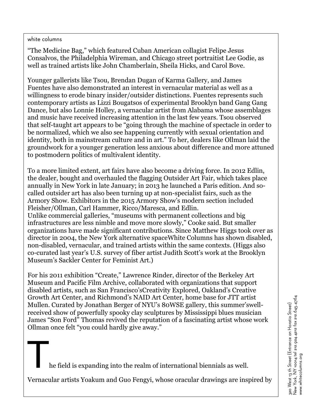"The Medicine Bag," which featured Cuban American collagist Felipe Jesus Consalvos, the Philadelphia Wireman, and Chicago street portraitist Lee Godie, as well as trained artists like John Chamberlain, Sheila Hicks, and Carol Bove.

Younger gallerists like Tsou, Brendan Dugan of Karma Gallery, and James Fuentes have also demonstrated an interest in vernacular material as well as a willingness to erode binary insider/outsider distinctions. Fuentes represents such contemporary artists as Lizzi Bougatsos of experimental Brooklyn band Gang Gang Dance, but also Lonnie Holley, a vernacular artist from Alabama whose assemblages and music have received increasing attention in the last few years. Tsou observed that self-taught art appears to be "going through the machine of spectacle in order to be normalized, which we also see happening currently with sexual orientation and identity, both in mainstream culture and in art." To her, dealers like Ollman laid the groundwork for a younger generation less anxious about difference and more attuned to postmodern politics of multivalent identity.

To a more limited extent, art fairs have also become a driving force. In 2012 Edlin, the dealer, bought and overhauled the flagging Outsider Art Fair, which takes place annually in New York in late January; in 2013 he launched a Paris edition. And socalled outsider art has also been turning up at non-specialist fairs, such as the Armory Show. Exhibitors in the 2015 Armory Show's modern section included Fleisher/Ollman, Carl Hammer, Ricco/Maresca, and Edlin. Unlike commercial galleries, "museums with permanent collections and big infrastructures are less nimble and move more slowly," Cooke said. But smaller organizations have made significant contributions. Since Matthew Higgs took over as director in 2004, the New York alternative spaceWhite Columns has shown disabled, non-disabled, vernacular, and trained artists within the same contexts. (Higgs also co-curated last year's U.S. survey of fiber artist Judith Scott's work at the Brooklyn Museum's Sackler Center for Feminist Art.)

For his 2011 exhibition "Create," Lawrence Rinder, director of the Berkeley Art Museum and Pacific Film Archive, collaborated with organizations that support disabled artists, such as San Francisco'sCreativity Explored, Oakland's Creative Growth Art Center, and Richmond's NAID Art Center, home base for JTT artist Mullen. Curated by Jonathan Berger of NYU's 80WSE gallery, this summer'swellreceived show of powerfully spooky clay sculptures by Mississippi blues musician James "Son Ford" Thomas revived the reputation of a fascinating artist whose work Ollman once felt "you could hardly give away."

he field is expanding into the realm of international biennials as well.

Vernacular artists Yoakum and Guo Fengyi, whose oracular drawings are inspired by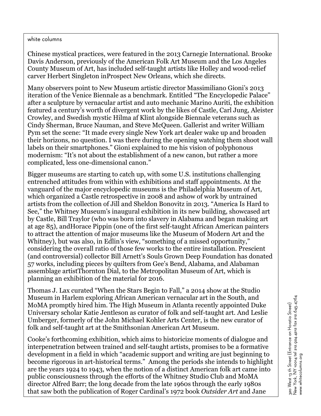Chinese mystical practices, were featured in the 2013 Carnegie International. Brooke Davis Anderson, previously of the American Folk Art Museum and the Los Angeles County Museum of Art, has included self-taught artists like Holley and wood-relief carver Herbert Singleton inProspect New Orleans, which she directs.

Many observers point to New Museum artistic director Massimiliano Gioni's 2013 iteration of the Venice Biennale as a benchmark. Entitled "The Encyclopedic Palace" after a sculpture by vernacular artist and auto mechanic Marino Auriti, the exhibition featured a century's worth of divergent work by the likes of Castle, Carl Jung, Aleister Crowley, and Swedish mystic Hilma af Klint alongside Biennale veterans such as Cindy Sherman, Bruce Nauman, and Steve McQueen. Gallerist and writer William Pym set the scene: "It made every single New York art dealer wake up and broaden their horizons, no question. I was there during the opening watching them shoot wall labels on their smartphones." Gioni explained to me his vision of polyphonous modernism: "It's not about the establishment of a new canon, but rather a more complicated, less one-dimensional canon."

Bigger museums are starting to catch up, with some U.S. institutions challenging entrenched attitudes from within with exhibitions and staff appointments. At the vanguard of the major encyclopedic museums is the Philadelphia Museum of Art, which organized a Castle retrospective in 2008 and ashow of work by untrained artists from the collection of Jill and Sheldon Bonovitz in 2013. "America Is Hard to See," the Whitney Museum's inaugural exhibition in its new building, showcased art by Castle, Bill Traylor (who was born into slavery in Alabama and began making art at age 85), andHorace Pippin (one of the first self-taught African American painters to attract the attention of major museums like the Museum of Modern Art and the Whitney), but was also, in Edlin's view, "something of a missed opportunity," considering the overall ratio of those few works to the entire installation. Prescient (and controversial) collector Bill Arnett's Souls Grown Deep Foundation has donated 57 works, including pieces by quilters from Gee's Bend, Alabama, and Alabaman assemblage artistThornton Dial, to the Metropolitan Museum of Art, which is planning an exhibition of the material for 2016.

Thomas J. Lax curated "When the Stars Begin to Fall," a 2014 show at the Studio Museum in Harlem exploring African American vernacular art in the South, and MoMA promptly hired him. The High Museum in Atlanta recently appointed Duke Universary scholar Katie Jentleson as curator of folk and self-taught art. And Leslie Umberger, formerly of the John Michael Kohler Arts Center, is the new curator of folk and self-taught art at the Smithsonian American Art Museum.

Cooke's forthcoming exhibition, which aims to historicize moments of dialogue and interpenetration between trained and self-taught artists, promises to be a formative development in a field in which "academic support and writing are just beginning to become rigorous in art-historical terms." Among the periods she intends to highlight are the years 1924 to 1943, when the notion of a distinct American folk art came into public consciousness through the efforts of the Whitney Studio Club and MoMA director Alfred Barr; the long decade from the late 1960s through the early 1980s that saw both the publication of Roger Cardinal's 1972 book *Outsider Art* and Jane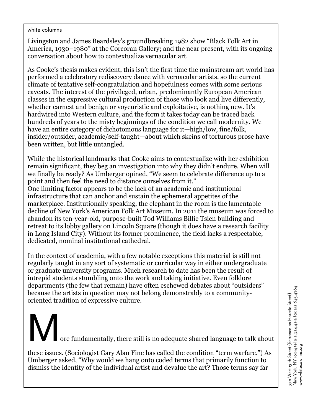Livingston and James Beardsley's groundbreaking 1982 show "Black Folk Art in America, 1930–1980" at the Corcoran Gallery; and the near present, with its ongoing conversation about how to contextualize vernacular art.

As Cooke's thesis makes evident, this isn't the first time the mainstream art world has performed a celebratory rediscovery dance with vernacular artists, so the current climate of tentative self-congratulation and hopefulness comes with some serious caveats. The interest of the privileged, urban, predominantly European American classes in the expressive cultural production of those who look and live differently, whether earnest and benign or voyeuristic and exploitative, is nothing new. It's hardwired into Western culture, and the form it takes today can be traced back hundreds of years to the misty beginnings of the condition we call modernity. We have an entire category of dichotomous language for it—high/low, fine/folk, insider/outsider, academic/self-taught—about which skeins of torturous prose have been written, but little untangled.

While the historical landmarks that Cooke aims to contextualize with her exhibition remain significant, they beg an investigation into why they didn't endure. When will we finally be ready? As Umberger opined, "We seem to celebrate difference up to a point and then feel the need to distance ourselves from it." One limiting factor appears to be the lack of an academic and institutional infrastructure that can anchor and sustain the ephemeral appetites of the marketplace. Institutionally speaking, the elephant in the room is the lamentable decline of New York's American Folk Art Museum. In 2011 the museum was forced to abandon its ten-year-old, purpose-built Tod Williams Billie Tsien building and retreat to its lobby gallery on Lincoln Square (though it does have a research facility in Long Island City). Without its former prominence, the field lacks a respectable, dedicated, nominal institutional cathedral.

In the context of academia, with a few notable exceptions this material is still not regularly taught in any sort of systematic or curricular way in either undergraduate or graduate university programs. Much research to date has been the result of intrepid students stumbling onto the work and taking initiative. Even folklore departments (the few that remain) have often eschewed debates about "outsiders" because the artists in question may not belong demonstrably to a communityoriented tradition of expressive culture.

ore fundamentally, there still is no adequate shared language to talk about these issues. (Sociologist Gary Alan Fine has called the condition "term warfare.") As Umberger asked, "Why would we hang onto coded terms that primarily function to

dismiss the identity of the individual artist and devalue the art? Those terms say far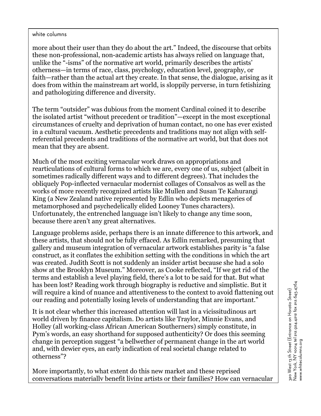more about their user than they do about the art." Indeed, the discourse that orbits these non-professional, non-academic artists has always relied on language that, unlike the "-isms" of the normative art world, primarily describes the artists' otherness—in terms of race, class, psychology, education level, geography, or faith—rather than the actual art they create. In that sense, the dialogue, arising as it does from within the mainstream art world, is sloppily perverse, in turn fetishizing and pathologizing difference and diversity.

The term "outsider" was dubious from the moment Cardinal coined it to describe the isolated artist "without precedent or tradition"—except in the most exceptional circumstances of cruelty and deprivation of human contact, no one has ever existed in a cultural vacuum. Aesthetic precedents and traditions may not align with selfreferential precedents and traditions of the normative art world, but that does not mean that they are absent.

Much of the most exciting vernacular work draws on appropriations and rearticulations of cultural forms to which we are, every one of us, subject (albeit in sometimes radically different ways and to different degrees). That includes the obliquely Pop-inflected vernacular modernist collages of Consalvos as well as the works of more recently recognized artists like Mullen and Susan Te Kahurangi King (a New Zealand native represented by Edlin who depicts menageries of metamorphosed and psychedelically elided Looney Tunes characters). Unfortunately, the entrenched language isn't likely to change any time soon, because there aren't any great alternatives.

Language problems aside, perhaps there is an innate difference to this artwork, and these artists, that should not be fully effaced. As Edlin remarked, presuming that gallery and museum integration of vernacular artwork establishes parity is "a false construct, as it conflates the exhibition setting with the conditions in which the art was created. Judith Scott is not suddenly an insider artist because she had a solo show at the Brooklyn Museum." Moreover, as Cooke reflected, "If we get rid of the terms and establish a level playing field, there's a lot to be said for that. But what has been lost? Reading work through biography is reductive and simplistic. But it will require a kind of nuance and attentiveness to the context to avoid flattening out our reading and potentially losing levels of understanding that are important."

It is not clear whether this increased attention will last in a vicissitudinous art world driven by finance capitalism. Do artists like Traylor, Minnie Evans, and Holley (all working-class African American Southerners) simply constitute, in Pym's words, an easy shorthand for supposed authenticity? Or does this seeming change in perception suggest "a bellwether of permanent change in the art world and, with dewier eyes, an early indication of real societal change related to otherness"?

More importantly, to what extent do this new market and these reprised conversations materially benefit living artists or their families? How can vernacular